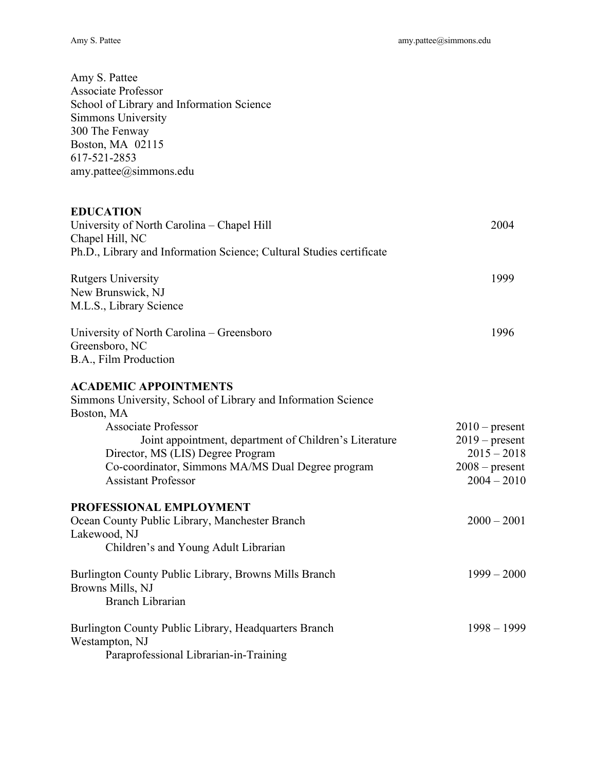| Amy S. Pattee<br><b>Associate Professor</b><br>School of Library and Information Science<br><b>Simmons University</b><br>300 The Fenway<br>Boston, MA 02115<br>617-521-2853<br>$amy$ .pattee@simmons.edu                                                                                                                    |                                                                                            |
|-----------------------------------------------------------------------------------------------------------------------------------------------------------------------------------------------------------------------------------------------------------------------------------------------------------------------------|--------------------------------------------------------------------------------------------|
| <b>EDUCATION</b><br>University of North Carolina - Chapel Hill<br>Chapel Hill, NC<br>Ph.D., Library and Information Science; Cultural Studies certificate                                                                                                                                                                   | 2004                                                                                       |
| <b>Rutgers University</b><br>New Brunswick, NJ<br>M.L.S., Library Science                                                                                                                                                                                                                                                   | 1999                                                                                       |
| University of North Carolina – Greensboro<br>Greensboro, NC<br>B.A., Film Production                                                                                                                                                                                                                                        | 1996                                                                                       |
| <b>ACADEMIC APPOINTMENTS</b><br>Simmons University, School of Library and Information Science<br>Boston, MA<br><b>Associate Professor</b><br>Joint appointment, department of Children's Literature<br>Director, MS (LIS) Degree Program<br>Co-coordinator, Simmons MA/MS Dual Degree program<br><b>Assistant Professor</b> | $2010$ – present<br>$2019$ – present<br>$2015 - 2018$<br>$2008$ – present<br>$2004 - 2010$ |
| PROFESSIONAL EMPLOYMENT<br>Ocean County Public Library, Manchester Branch<br>Lakewood, NJ<br>Children's and Young Adult Librarian                                                                                                                                                                                           | $2000 - 2001$                                                                              |
| Burlington County Public Library, Browns Mills Branch<br>Browns Mills, NJ<br><b>Branch Librarian</b>                                                                                                                                                                                                                        | $1999 - 2000$                                                                              |
| Burlington County Public Library, Headquarters Branch<br>Westampton, NJ<br>Paraprofessional Librarian-in-Training                                                                                                                                                                                                           | $1998 - 1999$                                                                              |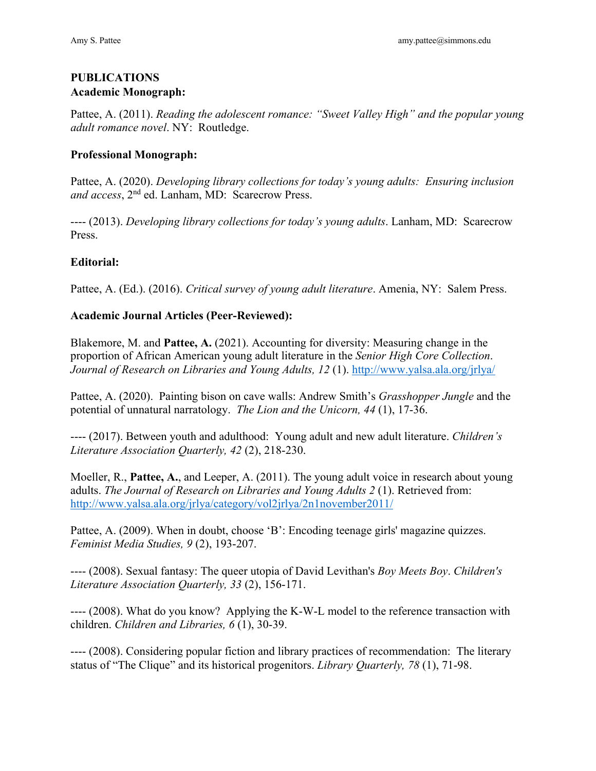## **PUBLICATIONS Academic Monograph:**

Pattee, A. (2011). *Reading the adolescent romance: "Sweet Valley High" and the popular young adult romance novel*. NY: Routledge.

## **Professional Monograph:**

Pattee, A. (2020). *Developing library collections for today's young adults: Ensuring inclusion and access*, 2nd ed. Lanham, MD: Scarecrow Press.

---- (2013). *Developing library collections for today's young adults*. Lanham, MD: Scarecrow Press.

# **Editorial:**

Pattee, A. (Ed.). (2016). *Critical survey of young adult literature*. Amenia, NY: Salem Press.

## **Academic Journal Articles (Peer-Reviewed):**

*Journal of Research on Libraries and Young Adults, 12 (1).* <http://www.yalsa.ala.org/jrlya>/ Blakemore, M. and **Pattee, A.** (2021). Accounting for diversity: Measuring change in the proportion of African American young adult literature in the *Senior High Core Collection*.

 potential of unnatural narratology. *The Lion and the Unicorn, 44* (1), 17-36. Pattee, A. (2020). Painting bison on cave walls: Andrew Smith's *Grasshopper Jungle* and the

---- (2017). Between youth and adulthood: Young adult and new adult literature. *Children's Literature Association Quarterly, 42* (2), 218-230.

adults. *The Journal of Research on Libraries and Young Adults 2* (1). Retrieved from:<br>[http://www.yalsa.ala.org/jrlya/category/vol2jrlya/2n1november2011/](http://www.yalsa.ala.org/jrlya/category/vol2jrlya/2n1november2011) Moeller, R., **Pattee, A.**, and Leeper, A. (2011). The young adult voice in research about young

Pattee, A. (2009). When in doubt, choose 'B': Encoding teenage girls' magazine quizzes. *Feminist Media Studies, 9* (2), 193-207.

---- (2008). Sexual fantasy: The queer utopia of David Levithan's *Boy Meets Boy*. *Children's Literature Association Quarterly, 33* (2), 156-171.

 children. *Children and Libraries, 6* (1), 30-39. ---- (2008). What do you know? Applying the K-W-L model to the reference transaction with

 status of "The Clique" and its historical progenitors. *Library Quarterly, 78* (1), 71-98. ---- (2008). Considering popular fiction and library practices of recommendation: The literary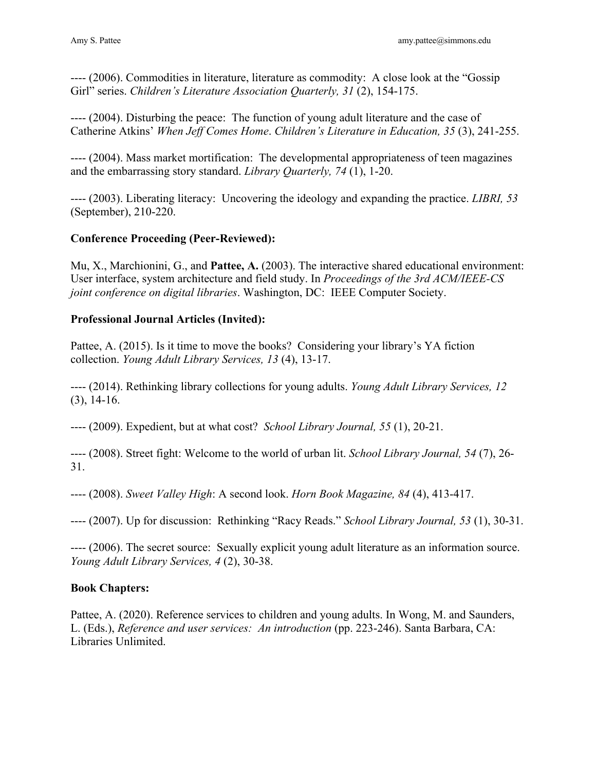---- (2006). Commodities in literature, literature as commodity: A close look at the "Gossip Girl" series. *Children's Literature Association Quarterly, 31* (2), 154-175.

---- (2004). Disturbing the peace: The function of young adult literature and the case of Catherine Atkins' *When Jeff Comes Home*. *Children's Literature in Education, 35* (3), 241-255.

 and the embarrassing story standard. *Library Quarterly, 74* (1), 1-20. ---- (2004). Mass market mortification: The developmental appropriateness of teen magazines

---- (2003). Liberating literacy: Uncovering the ideology and expanding the practice. *LIBRI, 53*  (September), 210-220.

# **Conference Proceeding (Peer-Reviewed):**

Mu, X., Marchionini, G., and **Pattee, A.** (2003). The interactive shared educational environment: User interface, system architecture and field study. In *Proceedings of the 3rd ACM/IEEE-CS joint conference on digital libraries*. Washington, DC: IEEE Computer Society.

## **Professional Journal Articles (Invited):**

 collection. *Young Adult Library Services, 13* (4), 13-17. Pattee, A. (2015). Is it time to move the books? Considering your library's YA fiction

---- (2014). Rethinking library collections for young adults. *Young Adult Library Services, 12*  (3), 14-16.

---- (2009). Expedient, but at what cost? *School Library Journal, 55* (1), 20-21.

---- (2008). Street fight: Welcome to the world of urban lit. *School Library Journal, 54* (7), 26- 31.

---- (2008). *Sweet Valley High*: A second look. *Horn Book Magazine, 84* (4), 413-417.

---- (2007). Up for discussion: Rethinking "Racy Reads." *School Library Journal, 53* (1), 30-31.

 *Young Adult Library Services, 4* (2), 30-38. ---- (2006). The secret source: Sexually explicit young adult literature as an information source.

## **Book Chapters:**

L. (Eds.), *Reference and user services: An introduction* (pp. 223-246). Santa Barbara, CA: Libraries Unlimited. Pattee, A. (2020). Reference services to children and young adults. In Wong, M. and Saunders,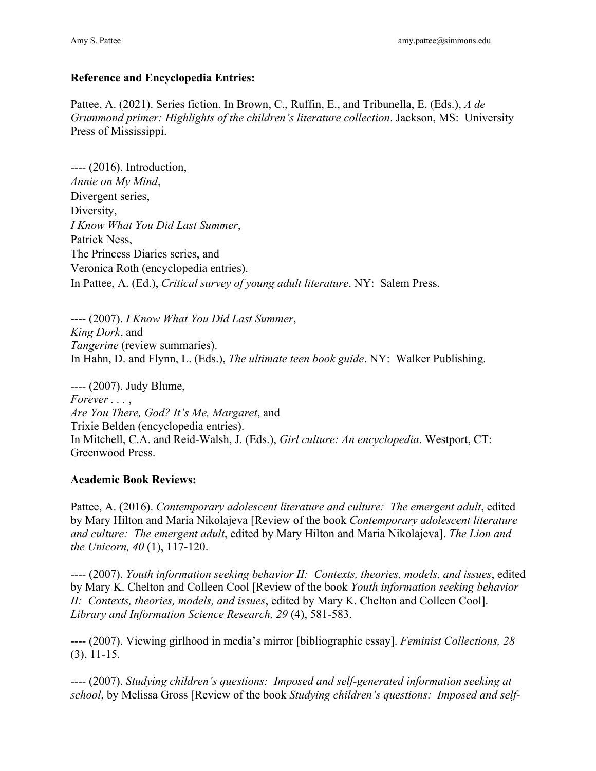### **Reference and Encyclopedia Entries:**

Pattee, A. (2021). Series fiction. In Brown, C., Ruffin, E., and Tribunella, E. (Eds.), *A de Grummond primer: Highlights of the children's literature collection*. Jackson, MS: University Press of Mississippi.

---- (2016). Introduction, *Annie on My Mind*, Divergent series, Diversity, *I Know What You Did Last Summer*, Patrick Ness, The Princess Diaries series, and Veronica Roth (encyclopedia entries).

 In Pattee, A. (Ed.), *Critical survey of young adult literature*. NY: Salem Press. ---- (2007). *I Know What You Did Last Summer*, ---- (2007). I Know What You Did Last Summer, *King Dork*, and *Tangerine* (review summaries). In Hahn, D. and Flynn, L. (Eds.), *The ultimate teen book guide*. NY: Walker Publishing.

 ---- (2007). Judy Blume, *Forever . . .* , *Are You There, God? It's Me, Margaret*, and In Mitchell, C.A. and Reid-Walsh, J. (Eds.), *Girl culture: An encyclopedia*. Westport, CT: Greenwood Press. Trixie Belden (encyclopedia entries).

#### **Academic Book Reviews:**

 *and culture: The emergent adult*, edited by Mary Hilton and Maria Nikolajeva]. *The Lion and*  Pattee, A. (2016). *Contemporary adolescent literature and culture: The emergent adult*, edited by Mary Hilton and Maria Nikolajeva [Review of the book *Contemporary adolescent literature the Unicorn, 40* (1), 117-120.

---- (2007). *Youth information seeking behavior II: Contexts, theories, models, and issues*, edited by Mary K. Chelton and Colleen Cool [Review of the book *Youth information seeking behavior II: Contexts, theories, models, and issues*, edited by Mary K. Chelton and Colleen Cool]. *Library and Information Science Research, 29* (4), 581-583.

---- (2007). Viewing girlhood in media's mirror [bibliographic essay]. *Feminist Collections, 28*  (3), 11-15.

---- (2007). *Studying children's questions: Imposed and self-generated information seeking at school*, by Melissa Gross [Review of the book *Studying children's questions: Imposed and self-*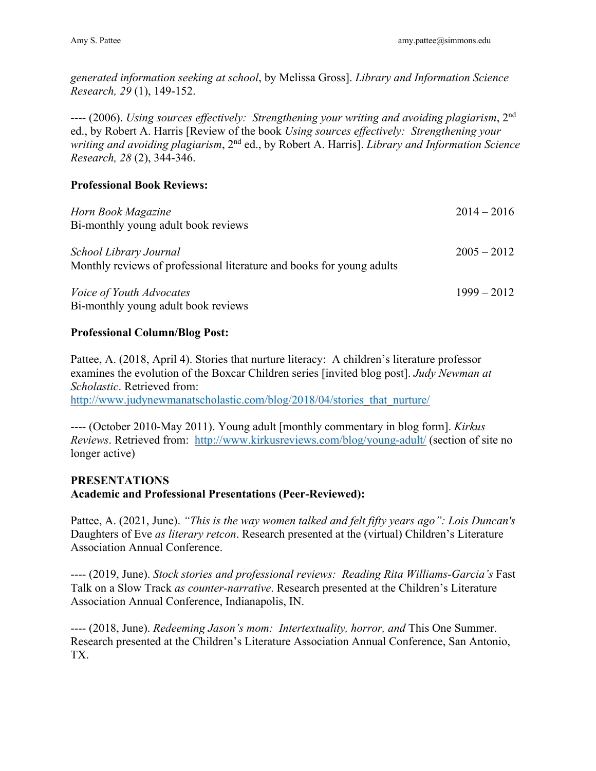*generated information seeking at school*, by Melissa Gross]. *Library and Information Science Research, 29* (1), 149-152.

---- (2006). *Using sources effectively: Strengthening your writing and avoiding plagiarism*, 2nd ed., by Robert A. Harris [Review of the book *Using sources effectively: Strengthening your writing and avoiding plagiarism*, 2nd ed., by Robert A. Harris]. *Library and Information Science Research, 28* (2), 344-346.

## **Professional Book Reviews:**

| Horn Book Magazine<br>Bi-monthly young adult book reviews                                       | $2014 - 2016$ |
|-------------------------------------------------------------------------------------------------|---------------|
| School Library Journal<br>Monthly reviews of professional literature and books for young adults | $2005 - 2012$ |
| <i>Voice of Youth Advocates</i><br>Bi-monthly young adult book reviews                          | $1999 - 2012$ |

### **Professional Column/Blog Post:**

Scholastic. Retrieved from: Pattee, A. (2018, April 4). Stories that nurture literacy: A children's literature professor examines the evolution of the Boxcar Children series [invited blog post]. *Judy Newman at http://www.judynewmanatscholastic.com/blog/2018/04/stories* that nurture/

*Reviews*. Retrieved from: [http://www.kirkusreviews.com/blog/young-adult/](http://www.kirkusreviews.com/blog/young-adult) (section of site no ---- (October 2010-May 2011). Young adult [monthly commentary in blog form]. *Kirkus*  longer active)

# **PRESENTATIONS Academic and Professional Presentations (Peer-Reviewed):**

Pattee, A. (2021, June). *"This is the way women talked and felt fifty years ago": Lois Duncan's*  Daughters of Eve *as literary retcon*. Research presented at the (virtual) Children's Literature Association Annual Conference.

---- (2019, June). *Stock stories and professional reviews: Reading Rita Williams-Garcia's* Fast Talk on a Slow Track *as counter-narrative*. Research presented at the Children's Literature Association Annual Conference, Indianapolis, IN.

---- (2018, June). *Redeeming Jason's mom: Intertextuality, horror, and* This One Summer. Research presented at the Children's Literature Association Annual Conference, San Antonio, TX.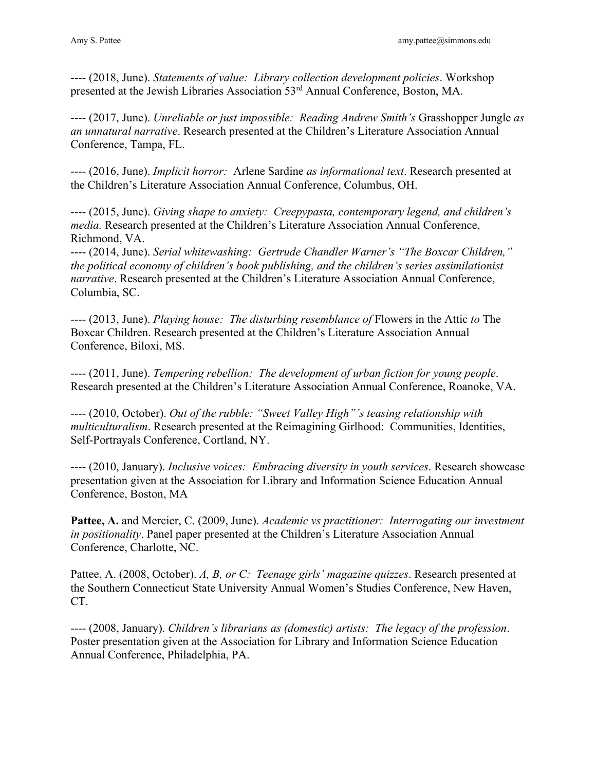---- (2018, June). *Statements of value: Library collection development policies*. Workshop presented at the Jewish Libraries Association 53rd Annual Conference, Boston, MA.

 ---- (2017, June). *Unreliable or just impossible: Reading Andrew Smith's* Grasshopper Jungle *as an unnatural narrative*. Research presented at the Children's Literature Association Annual Conference, Tampa, FL.

---- (2016, June). *Implicit horror:* Arlene Sardine *as informational text*. Research presented at the Children's Literature Association Annual Conference, Columbus, OH.

---- (2015, June). *Giving shape to anxiety: Creepypasta, contemporary legend, and children's media.* Research presented at the Children's Literature Association Annual Conference, Richmond, VA.

 ---- (2014, June). *Serial whitewashing: Gertrude Chandler Warner's "The Boxcar Children," the political economy of children's book publishing, and the children's series assimilationist narrative*. Research presented at the Children's Literature Association Annual Conference, Columbia, SC.

---- (2013, June). *Playing house: The disturbing resemblance of* Flowers in the Attic *to* The Boxcar Children. Research presented at the Children's Literature Association Annual Conference, Biloxi, MS.

---- (2011, June). *Tempering rebellion: The development of urban fiction for young people*. Research presented at the Children's Literature Association Annual Conference, Roanoke, VA.

---- (2010, October). *Out of the rubble: "Sweet Valley High"'s teasing relationship with multiculturalism*. Research presented at the Reimagining Girlhood: Communities, Identities, Self-Portrayals Conference, Cortland, NY.

---- (2010, January). *Inclusive voices: Embracing diversity in youth services*. Research showcase presentation given at the Association for Library and Information Science Education Annual Conference, Boston, MA

**Pattee, A.** and Mercier, C. (2009, June). *Academic vs practitioner: Interrogating our investment in positionality*. Panel paper presented at the Children's Literature Association Annual Conference, Charlotte, NC.

Pattee, A. (2008, October). *A, B, or C: Teenage girls' magazine quizzes*. Research presented at the Southern Connecticut State University Annual Women's Studies Conference, New Haven, CT.

---- (2008, January). *Children's librarians as (domestic) artists: The legacy of the profession*. Poster presentation given at the Association for Library and Information Science Education Annual Conference, Philadelphia, PA.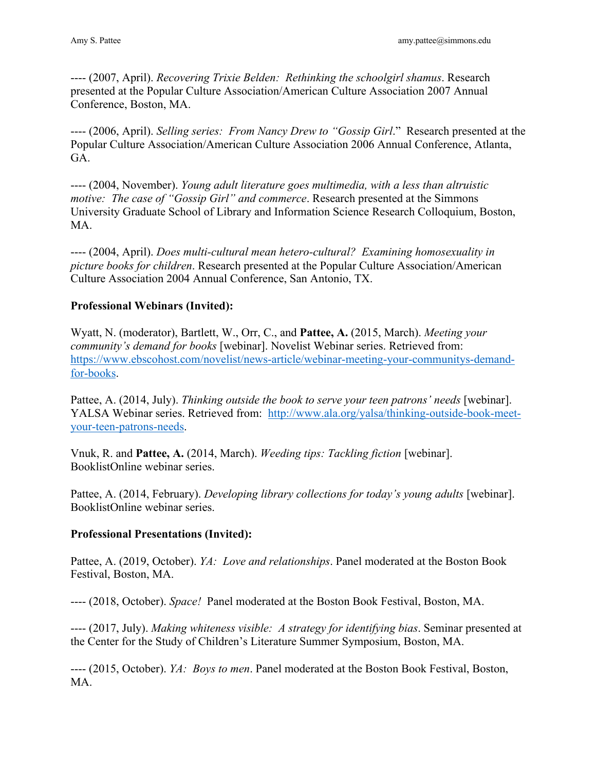---- (2007, April). *Recovering Trixie Belden: Rethinking the schoolgirl shamus*. Research presented at the Popular Culture Association/American Culture Association 2007 Annual Conference, Boston, MA.

 ---- (2006, April). *Selling series: From Nancy Drew to "Gossip Girl*." Research presented at the Popular Culture Association/American Culture Association 2006 Annual Conference, Atlanta, GA.

 *motive: The case of "Gossip Girl" and commerce*. Research presented at the Simmons ---- (2004, November). *Young adult literature goes multimedia, with a less than altruistic*  University Graduate School of Library and Information Science Research Colloquium, Boston, MA.

---- (2004, April). *Does multi-cultural mean hetero-cultural? Examining homosexuality in picture books for children*. Research presented at the Popular Culture Association/American Culture Association 2004 Annual Conference, San Antonio, TX.

# **Professional Webinars (Invited):**

community's demand for books [webinar]. Novelist Webinar series. Retrieved from: Wyatt, N. (moderator), Bartlett, W., Orr, C., and **Pattee, A.** (2015, March). *Meeting your <https://www.ebscohost.com/novelist/news-article/webinar-meeting-your-communitys-demand>*for-books.

YALSA Webinar series. Retrieved from: <http://www.ala.org/yalsa/thinking-outside-book-meet>-Pattee, A. (2014, July). *Thinking outside the book to serve your teen patrons' needs* [webinar]. your-teen-patrons-needs.

Vnuk, R. and **Pattee, A.** (2014, March). *Weeding tips: Tackling fiction* [webinar]. BooklistOnline webinar series.

Pattee, A. (2014, February). *Developing library collections for today's young adults* [webinar]. BooklistOnline webinar series.

## **Professional Presentations (Invited):**

Pattee, A. (2019, October). *YA: Love and relationships*. Panel moderated at the Boston Book Festival, Boston, MA.

---- (2018, October). *Space!* Panel moderated at the Boston Book Festival, Boston, MA.

---- (2017, July). *Making whiteness visible: A strategy for identifying bias*. Seminar presented at the Center for the Study of Children's Literature Summer Symposium, Boston, MA.

 ---- (2015, October). *YA: Boys to men*. Panel moderated at the Boston Book Festival, Boston, MA.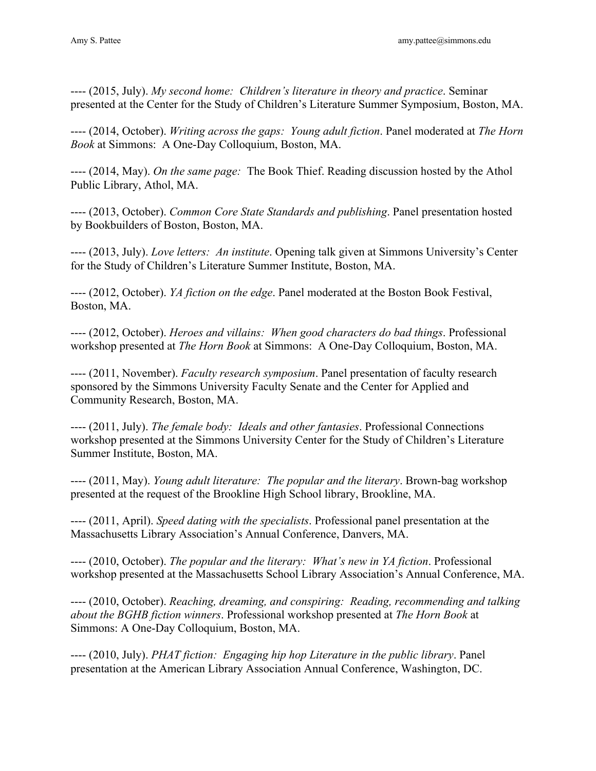---- (2015, July). *My second home: Children's literature in theory and practice*. Seminar presented at the Center for the Study of Children's Literature Summer Symposium, Boston, MA.

---- (2014, October). *Writing across the gaps: Young adult fiction*. Panel moderated at *The Horn Book* at Simmons: A One-Day Colloquium, Boston, MA.

---- (2014, May). *On the same page:* The Book Thief. Reading discussion hosted by the Athol Public Library, Athol, MA.

---- (2013, October). *Common Core State Standards and publishing*. Panel presentation hosted by Bookbuilders of Boston, Boston, MA.

---- (2013, July). *Love letters: An institute*. Opening talk given at Simmons University's Center for the Study of Children's Literature Summer Institute, Boston, MA.

 ---- (2012, October). *YA fiction on the edge*. Panel moderated at the Boston Book Festival, Boston, MA.

---- (2012, October). *Heroes and villains: When good characters do bad things*. Professional workshop presented at *The Horn Book* at Simmons: A One-Day Colloquium, Boston, MA.

---- (2011, November). *Faculty research symposium*. Panel presentation of faculty research sponsored by the Simmons University Faculty Senate and the Center for Applied and Community Research, Boston, MA.

---- (2011, July). *The female body: Ideals and other fantasies*. Professional Connections workshop presented at the Simmons University Center for the Study of Children's Literature Summer Institute, Boston, MA.

---- (2011, May). *Young adult literature: The popular and the literary*. Brown-bag workshop presented at the request of the Brookline High School library, Brookline, MA.

---- (2011, April). *Speed dating with the specialists*. Professional panel presentation at the Massachusetts Library Association's Annual Conference, Danvers, MA.

---- (2010, October). *The popular and the literary: What's new in YA fiction*. Professional workshop presented at the Massachusetts School Library Association's Annual Conference, MA.

 ---- (2010, October). *Reaching, dreaming, and conspiring: Reading, recommending and talking about the BGHB fiction winners*. Professional workshop presented at *The Horn Book* at Simmons: A One-Day Colloquium, Boston, MA.

---- (2010, July). *PHAT fiction: Engaging hip hop Literature in the public library*. Panel presentation at the American Library Association Annual Conference, Washington, DC.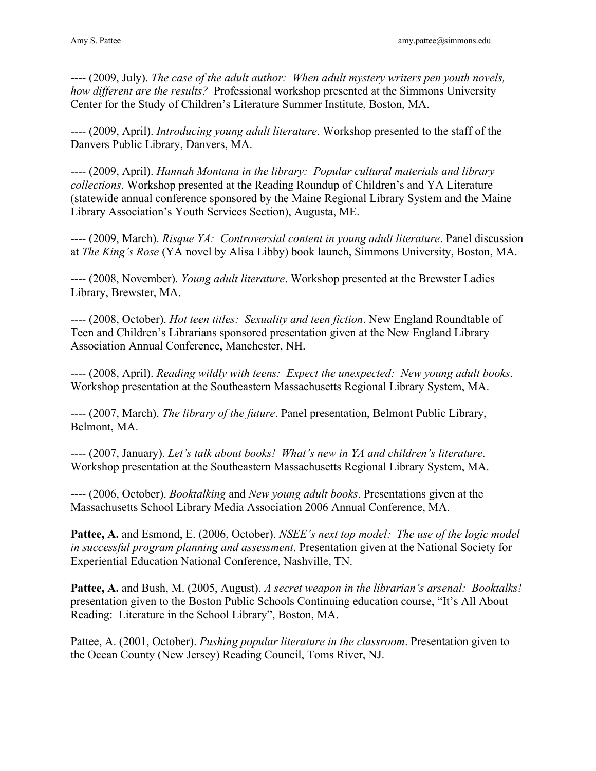---- (2009, July). *The case of the adult author: When adult mystery writers pen youth novels, how different are the results?* Professional workshop presented at the Simmons University Center for the Study of Children's Literature Summer Institute, Boston, MA.

---- (2009, April). *Introducing young adult literature*. Workshop presented to the staff of the Danvers Public Library, Danvers, MA.

---- (2009, April). *Hannah Montana in the library: Popular cultural materials and library collections*. Workshop presented at the Reading Roundup of Children's and YA Literature (statewide annual conference sponsored by the Maine Regional Library System and the Maine Library Association's Youth Services Section), Augusta, ME.

---- (2009, March). *Risque YA: Controversial content in young adult literature*. Panel discussion at *The King's Rose* (YA novel by Alisa Libby) book launch, Simmons University, Boston, MA.

---- (2008, November). *Young adult literature*. Workshop presented at the Brewster Ladies Library, Brewster, MA.

Association Annual Conference, Manchester, NH. ---- (2008, October). *Hot teen titles: Sexuality and teen fiction*. New England Roundtable of Teen and Children's Librarians sponsored presentation given at the New England Library

---- (2008, April). *Reading wildly with teens: Expect the unexpected: New young adult books.* Workshop presentation at the Southeastern Massachusetts Regional Library System, MA.

---- (2007, March). *The library of the future*. Panel presentation, Belmont Public Library, Belmont, MA.

---- (2007, January). *Let's talk about books! What's new in YA and children's literature*. Workshop presentation at the Southeastern Massachusetts Regional Library System, MA.

 ---- (2006, October). *Booktalking* and *New young adult books*. Presentations given at the Massachusetts School Library Media Association 2006 Annual Conference, MA.

**Pattee, A.** and Esmond, E. (2006, October). *NSEE's next top model: The use of the logic model in successful program planning and assessment*. Presentation given at the National Society for Experiential Education National Conference, Nashville, TN.

**Pattee, A.** and Bush, M. (2005, August). *A secret weapon in the librarian's arsenal: Booktalks!*  presentation given to the Boston Public Schools Continuing education course, "It's All About Reading: Literature in the School Library", Boston, MA.

Pattee, A. (2001, October). *Pushing popular literature in the classroom*. Presentation given to the Ocean County (New Jersey) Reading Council, Toms River, NJ.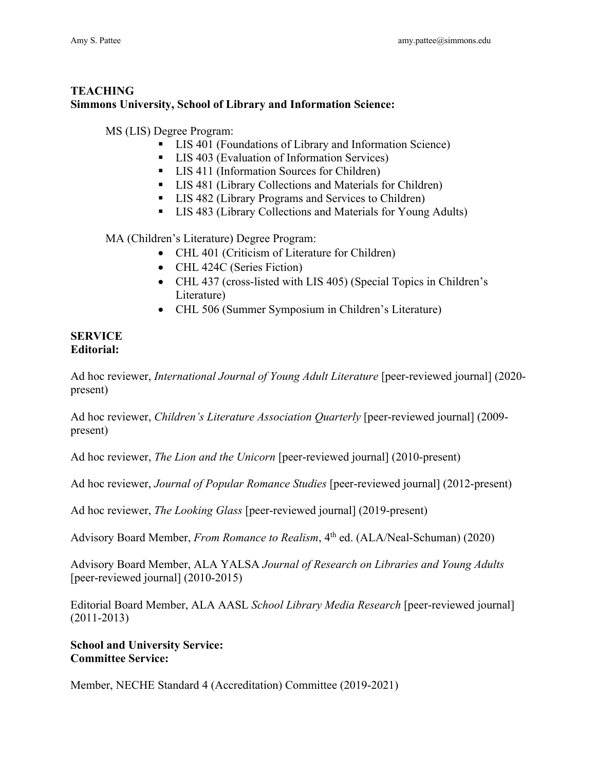# **Simmons University, School of Library and Information Science: TEACHING**

MS (LIS) Degree Program:

- LIS 401 (Foundations of Library and Information Science)
- LIS 403 (Evaluation of Information Services)
- LIS 411 (Information Sources for Children)
- LIS 481 (Library Collections and Materials for Children)
- LIS 482 (Library Programs and Services to Children)
- LIS 483 (Library Collections and Materials for Young Adults)

MA (Children's Literature) Degree Program:

- CHL 401 (Criticism of Literature for Children)
- CHL 424C (Series Fiction)
- CHL 437 (cross-listed with LIS 405) (Special Topics in Children's Literature)
- CHL 506 (Summer Symposium in Children's Literature)

#### **SERVICE Editorial:**

Ad hoc reviewer, *International Journal of Young Adult Literature* [peer-reviewed journal] (2020 present)

Ad hoc reviewer, *Children's Literature Association Quarterly* [peer-reviewed journal] (2009present)

Ad hoc reviewer, *The Lion and the Unicorn* [peer-reviewed journal] (2010-present)

Ad hoc reviewer, *Journal of Popular Romance Studies* [peer-reviewed journal] (2012-present)

Ad hoc reviewer, *The Looking Glass* [peer-reviewed journal] (2019-present)

Advisory Board Member, *From Romance to Realism*, 4th ed. (ALA/Neal-Schuman) (2020)

Advisory Board Member, ALA YALSA *Journal of Research on Libraries and Young Adults*  [peer-reviewed journal] (2010-2015)

Editorial Board Member, ALA AASL *School Library Media Research* [peer-reviewed journal] (2011-2013)

### **School and University Service: Committee Service:**

Member, NECHE Standard 4 (Accreditation) Committee (2019-2021)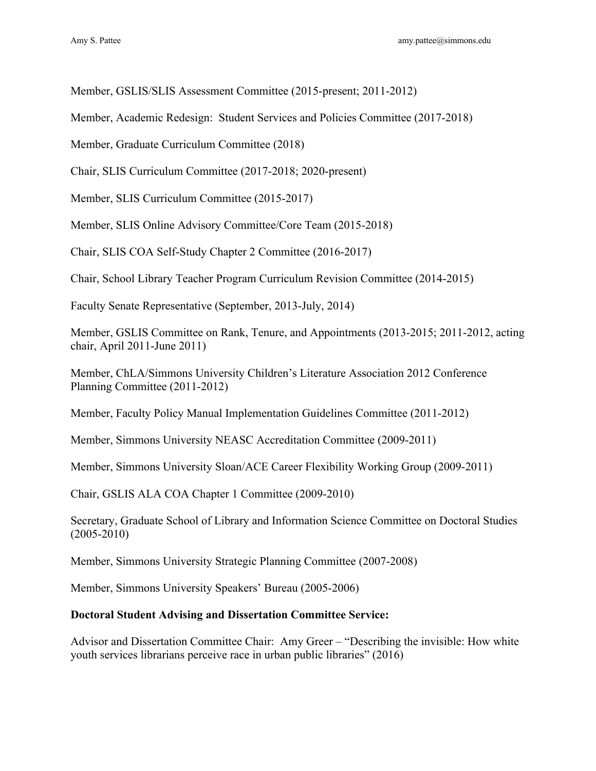Member, GSLIS/SLIS Assessment Committee (2015-present; 2011-2012)

Member, Academic Redesign: Student Services and Policies Committee (2017-2018)

Member, Graduate Curriculum Committee (2018)

Chair, SLIS Curriculum Committee (2017-2018; 2020-present)

Member, SLIS Curriculum Committee (2015-2017)

Member, SLIS Online Advisory Committee/Core Team (2015-2018)

Chair, SLIS COA Self-Study Chapter 2 Committee (2016-2017)

Chair, School Library Teacher Program Curriculum Revision Committee (2014-2015)

Faculty Senate Representative (September, 2013-July, 2014)

Member, GSLIS Committee on Rank, Tenure, and Appointments (2013-2015; 2011-2012, acting chair, April 2011-June 2011)

Member, ChLA/Simmons University Children's Literature Association 2012 Conference Planning Committee (2011-2012)

Member, Faculty Policy Manual Implementation Guidelines Committee (2011-2012)

Member, Simmons University NEASC Accreditation Committee (2009-2011)

Member, Simmons University Sloan/ACE Career Flexibility Working Group (2009-2011)

Chair, GSLIS ALA COA Chapter 1 Committee (2009-2010)

Secretary, Graduate School of Library and Information Science Committee on Doctoral Studies (2005-2010)

Member, Simmons University Strategic Planning Committee (2007-2008)

Member, Simmons University Speakers' Bureau (2005-2006)

#### **Doctoral Student Advising and Dissertation Committee Service:**

Advisor and Dissertation Committee Chair: Amy Greer – "Describing the invisible: How white youth services librarians perceive race in urban public libraries" (2016)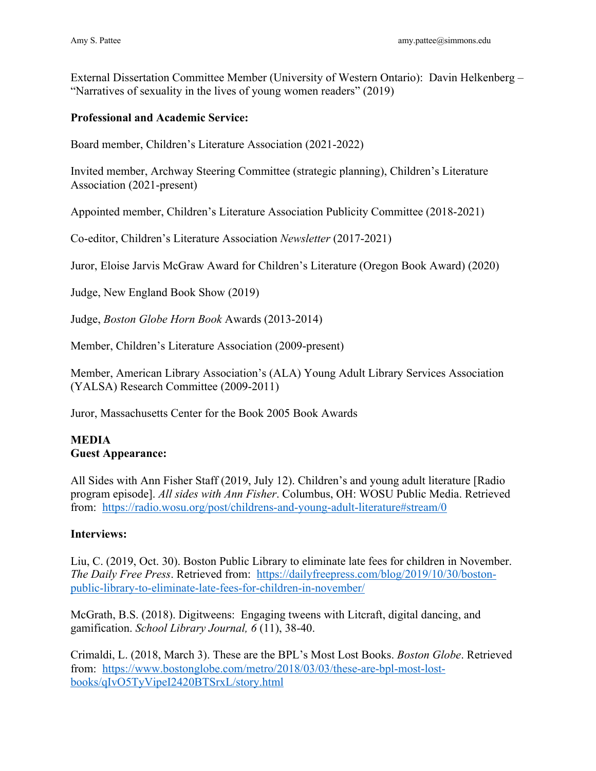External Dissertation Committee Member (University of Western Ontario): Davin Helkenberg – "Narratives of sexuality in the lives of young women readers" (2019)

## **Professional and Academic Service:**

Board member, Children's Literature Association (2021-2022)

Invited member, Archway Steering Committee (strategic planning), Children's Literature Association (2021-present)

Appointed member, Children's Literature Association Publicity Committee (2018-2021)

Co-editor, Children's Literature Association *Newsletter* (2017-2021)

Juror, Eloise Jarvis McGraw Award for Children's Literature (Oregon Book Award) (2020)

Judge, New England Book Show (2019)

Judge, *Boston Globe Horn Book* Awards (2013-2014)

Member, Children's Literature Association (2009-present)

Member, American Library Association's (ALA) Young Adult Library Services Association (YALSA) Research Committee (2009-2011)

Juror, Massachusetts Center for the Book 2005 Book Awards

#### **MEDIA Guest Appearance:**

from: <https://radio.wosu.org/post/childrens-and-young-adult-literature#stream/0> All Sides with Ann Fisher Staff (2019, July 12). Children's and young adult literature [Radio program episode]. *All sides with Ann Fisher*. Columbus, OH: WOSU Public Media. Retrieved

## **Interviews:**

 *The Daily Free Press*. Retrieved from: <https://dailyfreepress.com/blog/2019/10/30/boston>-Liu, C. (2019, Oct. 30). Boston Public Library to eliminate late fees for children in November. public-library-to-eliminate-late-fees-for-children-in-november/

 gamification. *School Library Journal, 6* (11), 38-40. McGrath, B.S. (2018). Digitweens: Engaging tweens with Litcraft, digital dancing, and

from: [https://www.bostonglobe.com/metro/2018/03/03/these-are-bpl-most-lost-](https://www.bostonglobe.com/metro/2018/03/03/these-are-bpl-most-lost)Crimaldi, L. (2018, March 3). These are the BPL's Most Lost Books. *Boston Globe*. Retrieved books/qIvO5TyVipeI2420BTSrxL/story.html